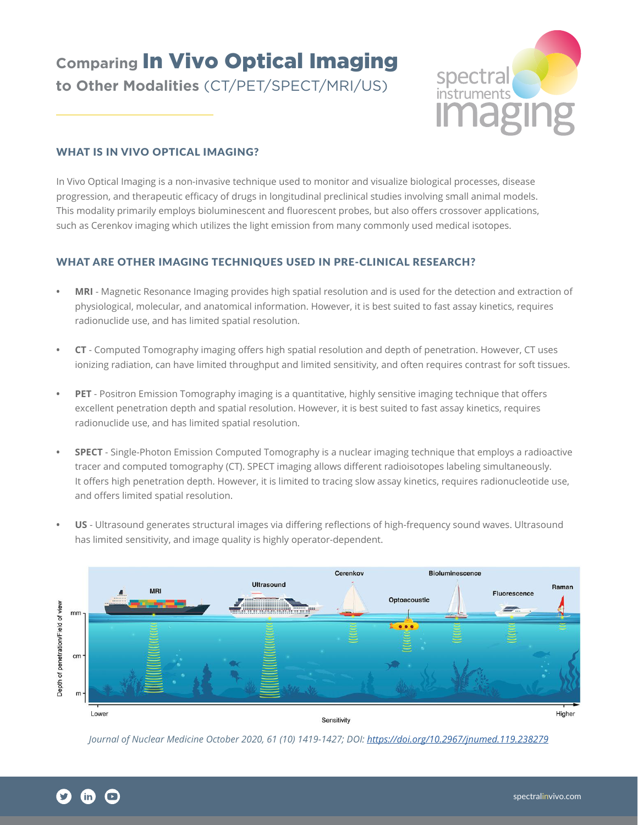# **Comparing** In Vivo Optical Imaging **to Other Modalities** (CT/PET/SPECT/MRI/US)



## WHAT IS IN VIVO OPTICAL IMAGING?

In Vivo Optical Imaging is a non-invasive technique used to monitor and visualize biological processes, disease progression, and therapeutic efficacy of drugs in longitudinal preclinical studies involving small animal models. This modality primarily employs bioluminescent and fluorescent probes, but also offers crossover applications, such as Cerenkov imaging which utilizes the light emission from many commonly used medical isotopes.

## WHAT ARE OTHER IMAGING TECHNIQUES USED IN PRE-CLINICAL RESEARCH?

- **MRI** Magnetic Resonance Imaging provides high spatial resolution and is used for the detection and extraction of physiological, molecular, and anatomical information. However, it is both time consuming and cost prohibitive.
- **CT** Computed Tomography imaging offers high spatial resolution and depth of penetration. However, CT uses ionizing radiation, can have limited throughput and limited sensitivity, and often requires contrast for soft tissues.
- **PET** Positron Emission Tomography imaging is a quantitative, highly sensitive imaging technique that offers excellent penetration depth and spatial resolution. However, it is best suited to fast assay kinetics, requires radionuclide use, and has limited spatial resolution.
- **SPECT** Single-Photon Emission Computed Tomography is a nuclear imaging technique that employs a radioactive tracer and computed tomography (CT). SPECT imaging allows different radioisotopes labeling simultaneously. It offers high penetration depth. However, it is limited to tracing slow assay kinetics, requires radionucleotide use, and offers limited spatial resolution.
- **US** Ultrasound generates structural images via differing reflections of high-frequency sound waves. Ultrasound has limited sensitivity, and image quality is highly operator-dependent.



*Journal of Nuclear Medicine October 2020, 61 (10) 1419-1427; DOI:<https://doi.org/10.2967/jnumed.119.238279>*

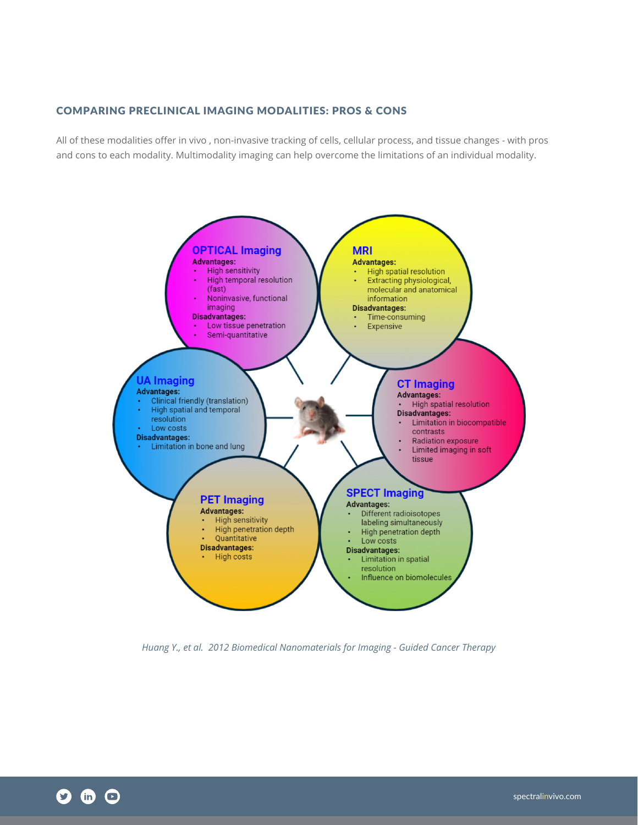### COMPARING PRECLINICAL IMAGING MODALITIES: PROS & CONS

All of these modalities offer in vivo , non-invasive tracking of cells, cellular process, and tissue changes - with pros and cons to each modality. Multimodality imaging can help overcome the limitations of an individual modality.



*Huang Y., et al. 2012 Biomedical Nanomaterials for Imaging - Guided Cancer Therapy*

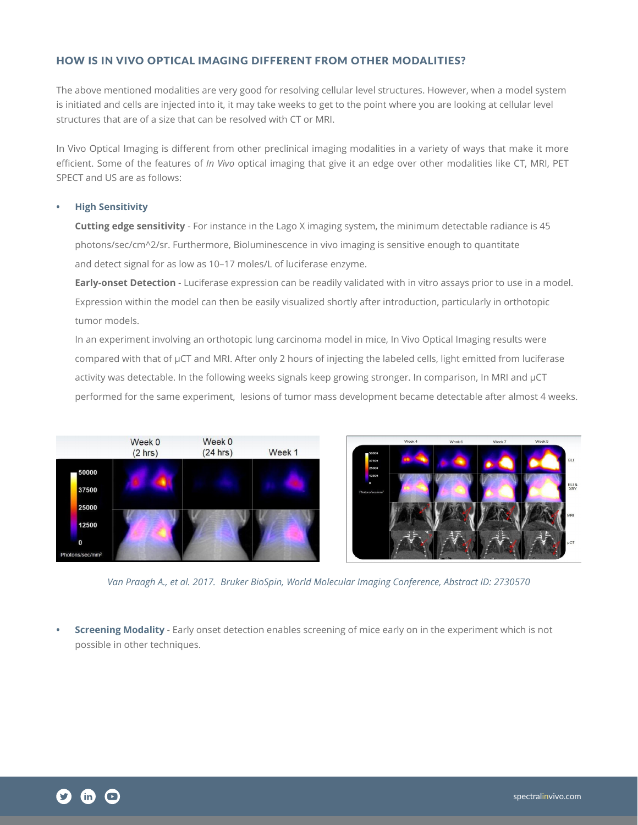## HOW IS IN VIVO OPTICAL IMAGING DIFFERENT FROM OTHER MODALITIES?

The above mentioned modalities are very good for resolving cellular level structures. However, when a model system is initiated and cells are injected into it, it may take weeks to get to the point where you are looking at cellular level structures that are of a size that can be resolved with CT or MRI.

In Vivo Optical Imaging is different from other preclinical imaging modalities in a variety of ways that make it more efficient. Some of the features of *In Vivo* optical imaging that give it an edge over other modalities like CT, MRI, PET SPECT and US are as follows:

#### **• High Sensitivity**

**Cutting edge sensitivity** - For instance in the Lago X imaging system, the minimum detectable radiance is 45 photons/sec/cm^2/sr. Furthermore, Bioluminescence in vivo imaging is sensitive enough to quantitate and detect signal for as low as 10–17 moles/L of luciferase enzyme.

**Early-onset Detection** - Luciferase expression can be readily validated with in vitro assays prior to use in a model. Expression within the model can then be easily visualized shortly after introduction, particularly in orthotopic tumor models.

In an experiment involving an orthotopic lung carcinoma model in mice, In Vivo Optical Imaging results were compared with that of µCT and MRI. After only 2 hours of injecting the labeled cells, light emitted from luciferase activity was detectable. In the following weeks signals keep growing stronger. In comparison, In MRI and µCT performed for the same experiment, lesions of tumor mass development became detectable after almost 4 weeks.





*Van Praagh A., et al. 2017. Bruker BioSpin, World Molecular Imaging Conference, Abstract ID: 2730570*

**• Screening Modality** - Early onset detection enables screening of mice early on in the experiment which is not possible in other techniques.